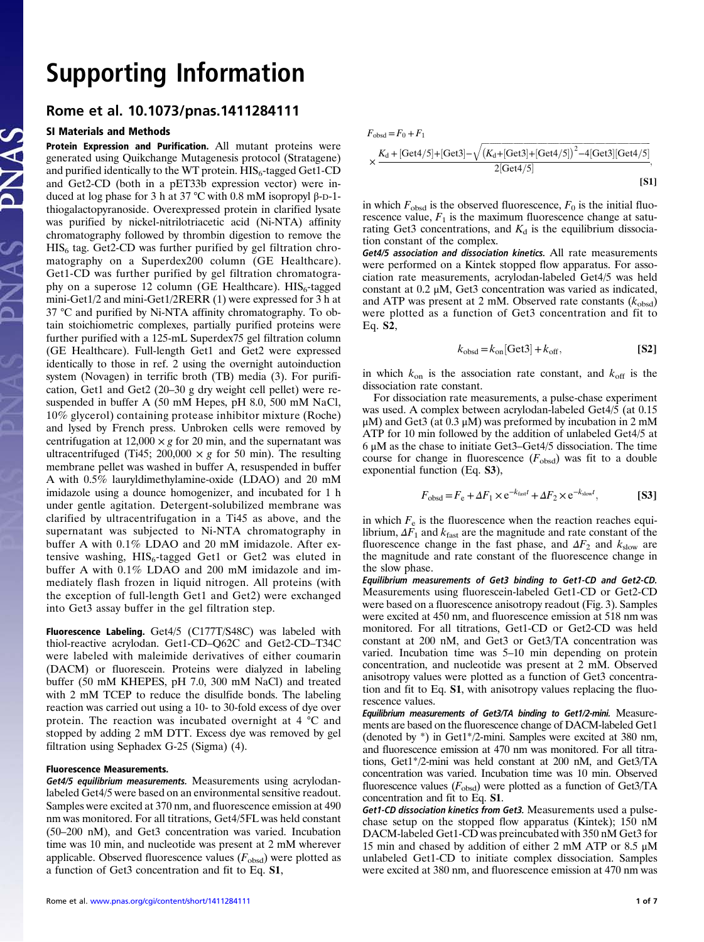## Supported the Contract of the Contract of the Contract of the Contract of the Contract of the Contract of the Contract of the Contract of the Contract of the Contract of the Contract of the Contract of the Contract of the

## Rome et al. 10.1073/pnas.1411284111

## SI Materials and Methods

Protein Expression and Purification. All mutant proteins were generated using Quikchange Mutagenesis protocol (Stratagene) and purified identically to the WT protein.  $HIS_6$ -tagged Get1-CD and Get2-CD (both in a pET33b expression vector) were induced at log phase for 3 h at 37 °C with 0.8 mM isopropyl β-D-1 thiogalactopyranoside. Overexpressed protein in clarified lysate was purified by nickel-nitrilotriacetic acid (Ni-NTA) affinity chromatography followed by thrombin digestion to remove the  $HIS<sub>6</sub>$  tag. Get2-CD was further purified by gel filtration chromatography on a Superdex200 column (GE Healthcare). Get1-CD was further purified by gel filtration chromatography on a superose 12 column (GE Healthcare).  $HIS_6$ -tagged mini-Get1/2 and mini-Get1/2RERR (1) were expressed for 3 h at 37 °C and purified by Ni-NTA affinity chromatography. To obtain stoichiometric complexes, partially purified proteins were further purified with a 125-mL Superdex75 gel filtration column (GE Healthcare). Full-length Get1 and Get2 were expressed identically to those in ref. 2 using the overnight autoinduction system (Novagen) in terrific broth (TB) media (3). For purification, Get1 and Get2 (20–30 g dry weight cell pellet) were resuspended in buffer A (50 mM Hepes, pH 8.0, 500 mM NaCl, 10% glycerol) containing protease inhibitor mixture (Roche) and lysed by French press. Unbroken cells were removed by centrifugation at  $12,000 \times g$  for 20 min, and the supernatant was ultracentrifuged (Ti45; 200,000  $\times g$  for 50 min). The resulting membrane pellet was washed in buffer A, resuspended in buffer A with 0.5% lauryldimethylamine-oxide (LDAO) and 20 mM imidazole using a dounce homogenizer, and incubated for 1 h under gentle agitation. Detergent-solubilized membrane was clarified by ultracentrifugation in a Ti45 as above, and the supernatant was subjected to Ni-NTA chromatography in buffer A with 0.1% LDAO and 20 mM imidazole. After extensive washing,  $HIS_6$ -tagged Get1 or Get2 was eluted in buffer A with 0.1% LDAO and 200 mM imidazole and immediately flash frozen in liquid nitrogen. All proteins (with the exception of full-length Get1 and Get2) were exchanged into Get3 assay buffer in the gel filtration step.

Fluorescence Labeling. Get4/5 (C177T/S48C) was labeled with thiol-reactive acrylodan. Get1-CD–Q62C and Get2-CD–T34C were labeled with maleimide derivatives of either coumarin (DACM) or fluorescein. Proteins were dialyzed in labeling buffer (50 mM KHEPES, pH 7.0, 300 mM NaCl) and treated with 2 mM TCEP to reduce the disulfide bonds. The labeling reaction was carried out using a 10- to 30-fold excess of dye over protein. The reaction was incubated overnight at 4 °C and stopped by adding 2 mM DTT. Excess dye was removed by gel filtration using Sephadex G-25 (Sigma) (4).

## Fluorescence Measurements.

Get4/5 equilibrium measurements. Measurements using acrylodanlabeled Get4/5 were based on an environmental sensitive readout. Samples were excited at 370 nm, and fluorescence emission at 490 nm was monitored. For all titrations, Get4/5FL was held constant (50–200 nM), and Get3 concentration was varied. Incubation time was 10 min, and nucleotide was present at 2 mM wherever applicable. Observed fluorescence values  $(F_{obsd})$  were plotted as a function of Get3 concentration and fit to Eq. S1,

$$
F_{\text{obsd}} = F_0 + F_1
$$
  
 
$$
\times \frac{K_d + [\text{Get4}/5] + [\text{Get3}] - \sqrt{(K_d + [\text{Get3}] + [\text{Get4}/5])^2 - 4[\text{Get3}][\text{Get4}/5]}}{2[\text{Get4}/5]},
$$
  
[S1]

in which  $F_{obsd}$  is the observed fluorescence,  $F_0$  is the initial fluorescence value,  $F_1$  is the maximum fluorescence change at saturating Get3 concentrations, and  $K_d$  is the equilibrium dissociation constant of the complex.

Get4/5 association and dissociation kinetics. All rate measurements were performed on a Kintek stopped flow apparatus. For association rate measurements, acrylodan-labeled Get4/5 was held constant at 0.2 μM, Get3 concentration was varied as indicated, and ATP was present at 2 mM. Observed rate constants  $(k_{obsd})$ were plotted as a function of Get3 concentration and fit to Eq. S2,

$$
k_{\text{obsd}} = k_{\text{on}}[\text{Get3}] + k_{\text{off}},\tag{S2}
$$

in which  $k_{on}$  is the association rate constant, and  $k_{off}$  is the dissociation rate constant.

For dissociation rate measurements, a pulse-chase experiment was used. A complex between acrylodan-labeled Get4/5 (at 0.15 μM) and Get3 (at 0.3 μM) was preformed by incubation in 2 mM ATP for 10 min followed by the addition of unlabeled Get4/5 at 6 μM as the chase to initiate Get3–Get4/5 dissociation. The time course for change in fluorescence  $(F_{obsd})$  was fit to a double exponential function (Eq. S3),

$$
F_{\text{obsd}} = F_{\text{e}} + \Delta F_1 \times \text{e}^{-k_{\text{fast}}t} + \Delta F_2 \times \text{e}^{-k_{\text{slow}}t},
$$
 [S3]

in which  $F_e$  is the fluorescence when the reaction reaches equilibrium,  $\Delta F_1$  and  $k_{\text{fast}}$  are the magnitude and rate constant of the fluorescence change in the fast phase, and  $\Delta F_2$  and  $k_{slow}$  are the magnitude and rate constant of the fluorescence change in the slow phase.

Equilibrium measurements of Get3 binding to Get1-CD and Get2-CD. Measurements using fluorescein-labeled Get1-CD or Get2-CD were based on a fluorescence anisotropy readout (Fig. 3). Samples were excited at 450 nm, and fluorescence emission at 518 nm was monitored. For all titrations, Get1-CD or Get2-CD was held constant at 200 nM, and Get3 or Get3/TA concentration was varied. Incubation time was 5–10 min depending on protein concentration, and nucleotide was present at 2 mM. Observed anisotropy values were plotted as a function of Get3 concentration and fit to Eq. S1, with anisotropy values replacing the fluorescence values.

Equilibrium measurements of Get3/TA binding to Get1/2-mini. Measurements are based on the fluorescence change of DACM-labeled Get1 (denoted by \*) in Get1\*/2-mini. Samples were excited at 380 nm, and fluorescence emission at 470 nm was monitored. For all titrations, Get1\*/2-mini was held constant at 200 nM, and Get3/TA concentration was varied. Incubation time was 10 min. Observed fluorescence values  $(F_{obsd})$  were plotted as a function of Get3/TA concentration and fit to Eq. S1.

Get1-CD dissociation kinetics from Get3. Measurements used a pulsechase setup on the stopped flow apparatus (Kintek); 150 nM DACM-labeled Get1-CD was preincubated with 350 nM Get3 for 15 min and chased by addition of either 2 mM ATP or 8.5 μM unlabeled Get1-CD to initiate complex dissociation. Samples were excited at 380 nm, and fluorescence emission at 470 nm was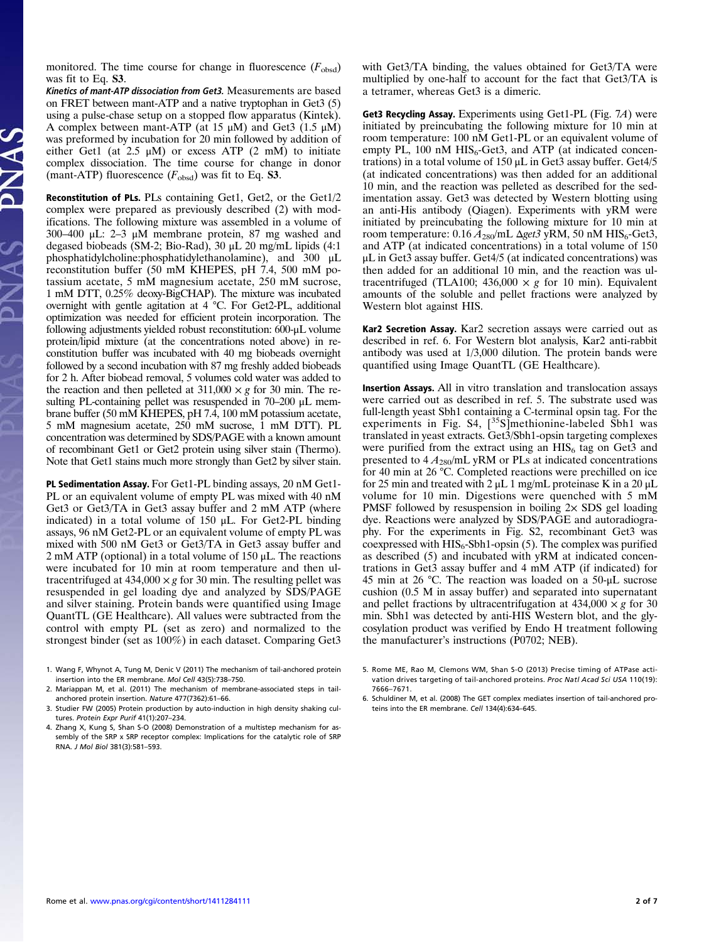monitored. The time course for change in fluorescence  $(F_{obsd})$ was fit to Eq. S3.

Kinetics of mant-ATP dissociation from Get3. Measurements are based on FRET between mant-ATP and a native tryptophan in Get3 (5) using a pulse-chase setup on a stopped flow apparatus (Kintek). A complex between mant-ATP (at 15  $\mu$ M) and Get3 (1.5  $\mu$ M) was preformed by incubation for 20 min followed by addition of either Get1 (at  $2.5 \mu M$ ) or excess ATP (2 mM) to initiate complex dissociation. The time course for change in donor (mant-ATP) fluorescence  $(F_{obsd})$  was fit to Eq. **S3**.

Reconstitution of PLs. PLs containing Get1, Get2, or the Get1/2 complex were prepared as previously described (2) with modifications. The following mixture was assembled in a volume of 300–400 μL: 2–3 μM membrane protein, 87 mg washed and degased biobeads (SM-2; Bio-Rad), 30 μL 20 mg/mL lipids (4:1 phosphatidylcholine:phosphatidylethanolamine), and 300 μL reconstitution buffer (50 mM KHEPES, pH 7.4, 500 mM potassium acetate, 5 mM magnesium acetate, 250 mM sucrose, 1 mM DTT, 0.25% deoxy-BigCHAP). The mixture was incubated overnight with gentle agitation at 4 °C. For Get2-PL, additional optimization was needed for efficient protein incorporation. The following adjustments yielded robust reconstitution: 600-μL volume protein/lipid mixture (at the concentrations noted above) in reconstitution buffer was incubated with 40 mg biobeads overnight followed by a second incubation with 87 mg freshly added biobeads for 2 h. After biobead removal, 5 volumes cold water was added to the reaction and then pelleted at 311,000  $\times g$  for 30 min. The resulting PL-containing pellet was resuspended in 70–200 μL membrane buffer (50 mM KHEPES, pH 7.4, 100 mM potassium acetate, 5 mM magnesium acetate, 250 mM sucrose, 1 mM DTT). PL concentration was determined by SDS/PAGE with a known amount of recombinant Get1 or Get2 protein using silver stain (Thermo). Note that Get1 stains much more strongly than Get2 by silver stain.

PL Sedimentation Assay. For Get1-PL binding assays, 20 nM Get1- PL or an equivalent volume of empty PL was mixed with 40 nM Get3 or Get3/TA in Get3 assay buffer and 2 mM ATP (where indicated) in a total volume of 150 μL. For Get2-PL binding assays, 96 nM Get2-PL or an equivalent volume of empty PL was mixed with 500 nM Get3 or Get3/TA in Get3 assay buffer and 2 mM ATP (optional) in a total volume of 150 μL. The reactions were incubated for 10 min at room temperature and then ultracentrifuged at  $434,000 \times g$  for 30 min. The resulting pellet was resuspended in gel loading dye and analyzed by SDS/PAGE and silver staining. Protein bands were quantified using Image QuantTL (GE Healthcare). All values were subtracted from the control with empty PL (set as zero) and normalized to the strongest binder (set as 100%) in each dataset. Comparing Get3

- 1. Wang F, Whynot A, Tung M, Denic V (2011) The mechanism of tail-anchored protein insertion into the ER membrane. Mol Cell 43(5):738–750.
- 2. Mariappan M, et al. (2011) The mechanism of membrane-associated steps in tailanchored protein insertion. Nature 477(7362):61–66.
- 3. Studier FW (2005) Protein production by auto-induction in high density shaking cultures. Protein Expr Purif 41(1):207–234.
- 4. Zhang X, Kung S, Shan S-O (2008) Demonstration of a multistep mechanism for assembly of the SRP x SRP receptor complex: Implications for the catalytic role of SRP RNA. J Mol Biol 381(3):581–593.

with Get3/TA binding, the values obtained for Get3/TA were multiplied by one-half to account for the fact that Get3/TA is a tetramer, whereas Get3 is a dimeric.

Get3 Recycling Assay. Experiments using Get1-PL (Fig. 7A) were initiated by preincubating the following mixture for 10 min at room temperature: 100 nM Get1-PL or an equivalent volume of empty PL, 100 nM  $HIS_6$ -Get3, and ATP (at indicated concentrations) in a total volume of 150 μL in Get3 assay buffer. Get4/5 (at indicated concentrations) was then added for an additional 10 min, and the reaction was pelleted as described for the sedimentation assay. Get3 was detected by Western blotting using an anti-His antibody (Qiagen). Experiments with yRM were initiated by preincubating the following mixture for 10 min at room temperature:  $0.16 A_{280}$ /mL  $\Delta$ get3 yRM, 50 nM HIS<sub>6</sub>-Get3, and ATP (at indicated concentrations) in a total volume of 150 μL in Get3 assay buffer. Get4/5 (at indicated concentrations) was then added for an additional 10 min, and the reaction was ultracentrifuged (TLA100; 436,000  $\times g$  for 10 min). Equivalent amounts of the soluble and pellet fractions were analyzed by Western blot against HIS.

Kar2 Secretion Assay. Kar2 secretion assays were carried out as described in ref. 6. For Western blot analysis, Kar2 anti-rabbit antibody was used at 1/3,000 dilution. The protein bands were quantified using Image QuantTL (GE Healthcare).

Insertion Assays. All in vitro translation and translocation assays were carried out as described in ref. 5. The substrate used was full-length yeast Sbh1 containing a C-terminal opsin tag. For the experiments in Fig. S4,  $\left[\right]$ <sup>35</sup>S]methionine-labeled Sbh1 was translated in yeast extracts. Get3/Sbh1-opsin targeting complexes were purified from the extract using an  $HIS<sub>6</sub>$  tag on Get3 and presented to  $4 A_{280}$ /mL yRM or PLs at indicated concentrations for 40 min at 26 °C. Completed reactions were prechilled on ice for 25 min and treated with 2  $\mu$ L 1 mg/mL proteinase K in a 20  $\mu$ L volume for 10 min. Digestions were quenched with 5 mM PMSF followed by resuspension in boiling  $2 \times$  SDS gel loading dye. Reactions were analyzed by SDS/PAGE and autoradiography. For the experiments in Fig. S2, recombinant Get3 was coexpressed with  $HIS_6$ -Sbh1-opsin (5). The complex was purified as described (5) and incubated with yRM at indicated concentrations in Get3 assay buffer and 4 mM ATP (if indicated) for 45 min at 26 °C. The reaction was loaded on a 50-μL sucrose cushion (0.5 M in assay buffer) and separated into supernatant and pellet fractions by ultracentrifugation at  $434,000 \times g$  for 30 min. Sbh1 was detected by anti-HIS Western blot, and the glycosylation product was verified by Endo H treatment following the manufacturer's instructions (P0702; NEB).

<sup>5.</sup> Rome ME, Rao M, Clemons WM, Shan S-O (2013) Precise timing of ATPase activation drives targeting of tail-anchored proteins. Proc Natl Acad Sci USA 110(19): 7666–7671.

<sup>6.</sup> Schuldiner M, et al. (2008) The GET complex mediates insertion of tail-anchored proteins into the ER membrane. Cell 134(4):634–645.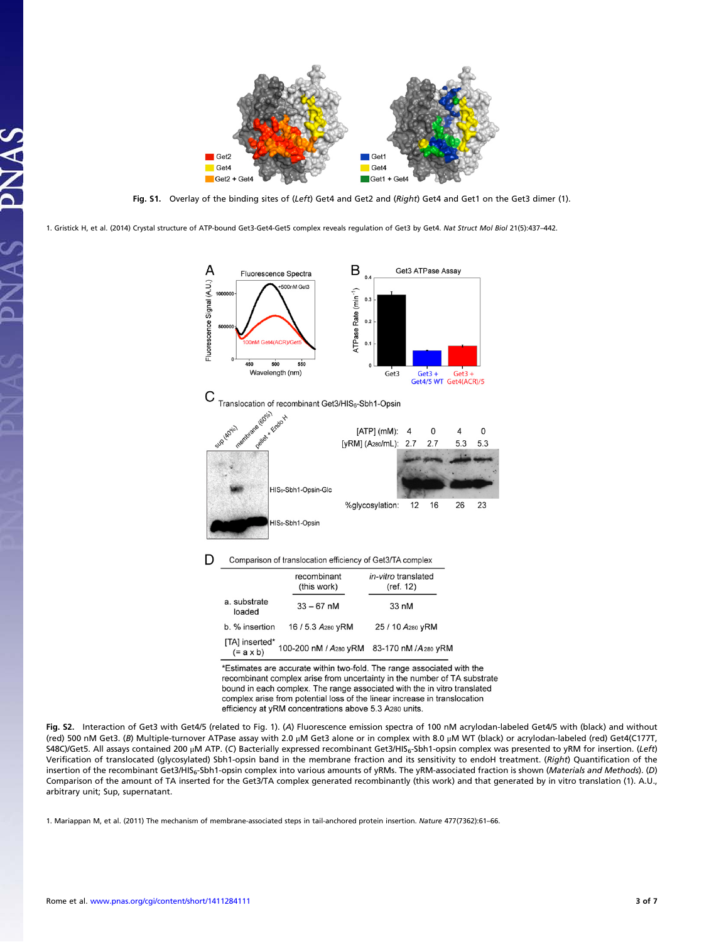

Fig. S1. Overlay of the binding sites of (Left) Get4 and Get2 and (Right) Get4 and Get1 on the Get3 dimer (1).

1. Gristick H, et al. (2014) Crystal structure of ATP-bound Get3-Get4-Get5 complex reveals regulation of Get3 by Get4. Nat Struct Mol Biol 21(5):437–442.



\*Estimates are accurate within two-fold. The range associated with the recombinant complex arise from uncertainty in the number of TA substrate bound in each complex. The range associated with the in vitro translated complex arise from potential loss of the linear increase in translocation efficiency at yRM concentrations above 5.3 A280 units.

Fig. S2. Interaction of Get3 with Get4/5 (related to Fig. 1). (A) Fluorescence emission spectra of 100 nM acrylodan-labeled Get4/5 with (black) and without (red) 500 nM Get3. (B) Multiple-turnover ATPase assay with 2.0 μM Get3 alone or in complex with 8.0 μM WT (black) or acrylodan-labeled (red) Get4(C177T, S48C)/Get5. All assays contained 200 μM ATP. (C) Bacterially expressed recombinant Get3/HIS6-Sbh1-opsin complex was presented to yRM for insertion. (Left) Verification of translocated (glycosylated) Sbh1-opsin band in the membrane fraction and its sensitivity to endoH treatment. (Right) Quantification of the insertion of the recombinant Get3/HIS<sub>6</sub>-Sbh1-opsin complex into various amounts of yRMs. The yRM-associated fraction is shown (Materials and Methods). (D) Comparison of the amount of TA inserted for the Get3/TA complex generated recombinantly (this work) and that generated by in vitro translation (1). A.U., arbitrary unit; Sup, supernatant.

1. Mariappan M, et al. (2011) The mechanism of membrane-associated steps in tail-anchored protein insertion. Nature 477(7362):61–66.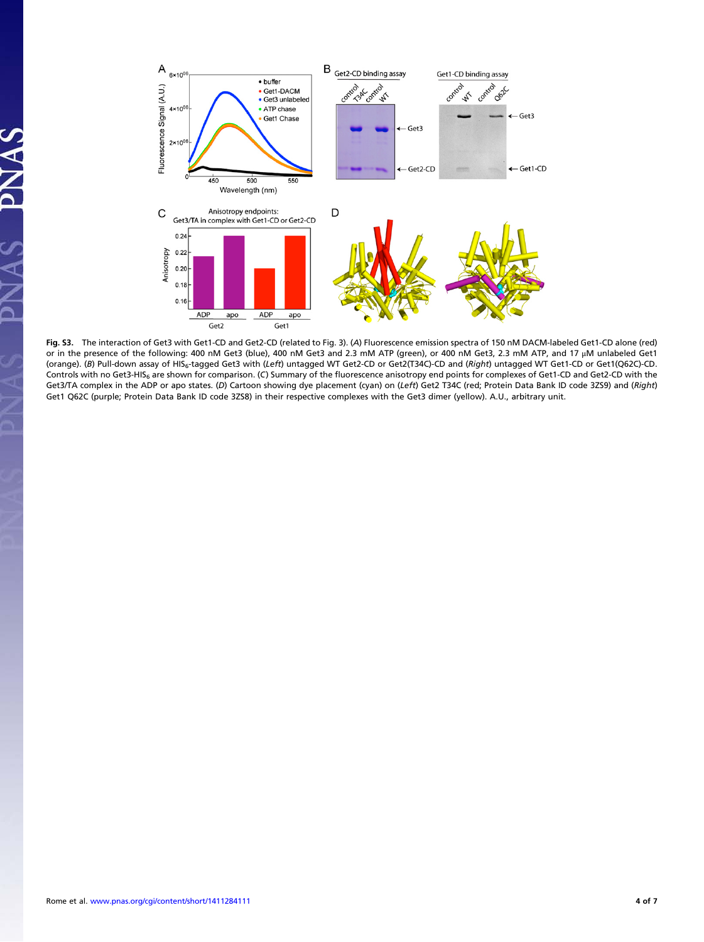

Fig. S3. The interaction of Get3 with Get1-CD and Get2-CD (related to Fig. 3). (A) Fluorescence emission spectra of 150 nM DACM-labeled Get1-CD alone (red) or in the presence of the following: 400 nM Get3 (blue), 400 nM Get3 and 2.3 mM ATP (green), or 400 nM Get3, 2.3 mM ATP, and 17 μM unlabeled Get1 (orange). (B) Pull-down assay of HIS<sub>6</sub>-tagged Get3 with (Left) untagged WT Get2-CD or Get2(T34C)-CD and (Right) untagged WT Get1-CD or Get1(Q62C)-CD. Controls with no Get3-HIS<sub>6</sub> are shown for comparison. (C) Summary of the fluorescence anisotropy end points for complexes of Get1-CD and Get2-CD with the Get3/TA complex in the ADP or apo states. (D) Cartoon showing dye placement (cyan) on (Left) Get2 T34C (red; Protein Data Bank ID code 3ZS9) and (Right) Get1 Q62C (purple; Protein Data Bank ID code 3ZS8) in their respective complexes with the Get3 dimer (yellow). A.U., arbitrary unit.

JAS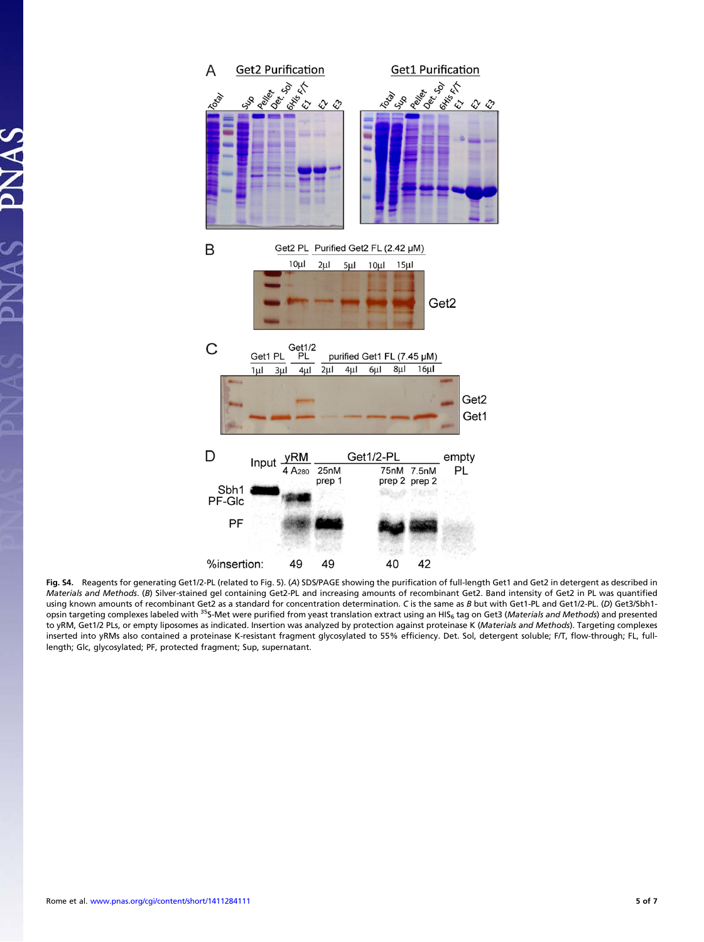

Fig. S4. Reagents for generating Get1/2-PL (related to Fig. 5). (A) SDS/PAGE showing the purification of full-length Get1 and Get2 in detergent as described in Materials and Methods. (B) Silver-stained gel containing Get2-PL and increasing amounts of recombinant Get2. Band intensity of Get2 in PL was quantified using known amounts of recombinant Get2 as a standard for concentration determination. C is the same as B but with Get1-PL and Get1/2-PL. (D) Get3/Sbh1-<br>opsin targeting complexes labeled with <sup>35</sup>S-Met were purified from y to yRM, Get1/2 PLs, or empty liposomes as indicated. Insertion was analyzed by protection against proteinase K (Materials and Methods). Targeting complexes inserted into yRMs also contained a proteinase K-resistant fragment glycosylated to 55% efficiency. Det. Sol, detergent soluble; F/T, flow-through; FL, fulllength; Glc, glycosylated; PF, protected fragment; Sup, supernatant.

PNAS

 $14S$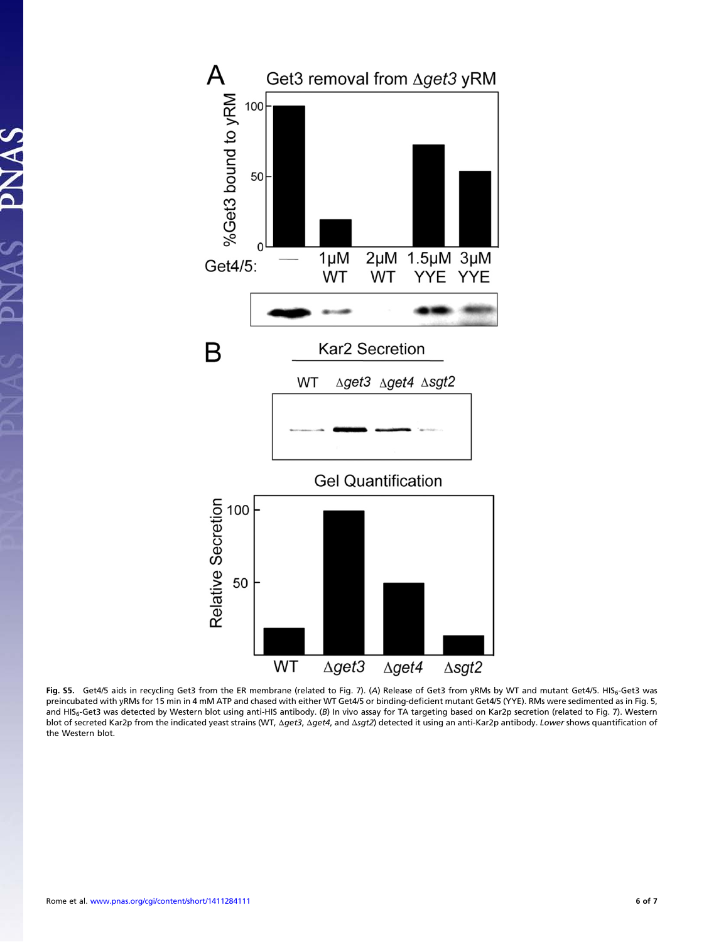

Fig. S5. Get4/5 aids in recycling Get3 from the ER membrane (related to Fig. 7). (A) Release of Get3 from yRMs by WT and mutant Get4/5. HIS<sub>6</sub>-Get3 was preincubated with yRMs for 15 min in 4 mM ATP and chased with either WT Get4/5 or binding-deficient mutant Get4/5 (YYE). RMs were sedimented as in Fig. 5, and HIS<sub>6</sub>-Get3 was detected by Western blot using anti-HIS antibody. (B) In vivo assay for TA targeting based on Kar2p secretion (related to Fig. 7). Western blot of secreted Kar2p from the indicated yeast strains (WT, Δget3, Δget4, and Δsgt2) detected it using an anti-Kar2p antibody. Lower shows quantification of the Western blot.

AS PNAS